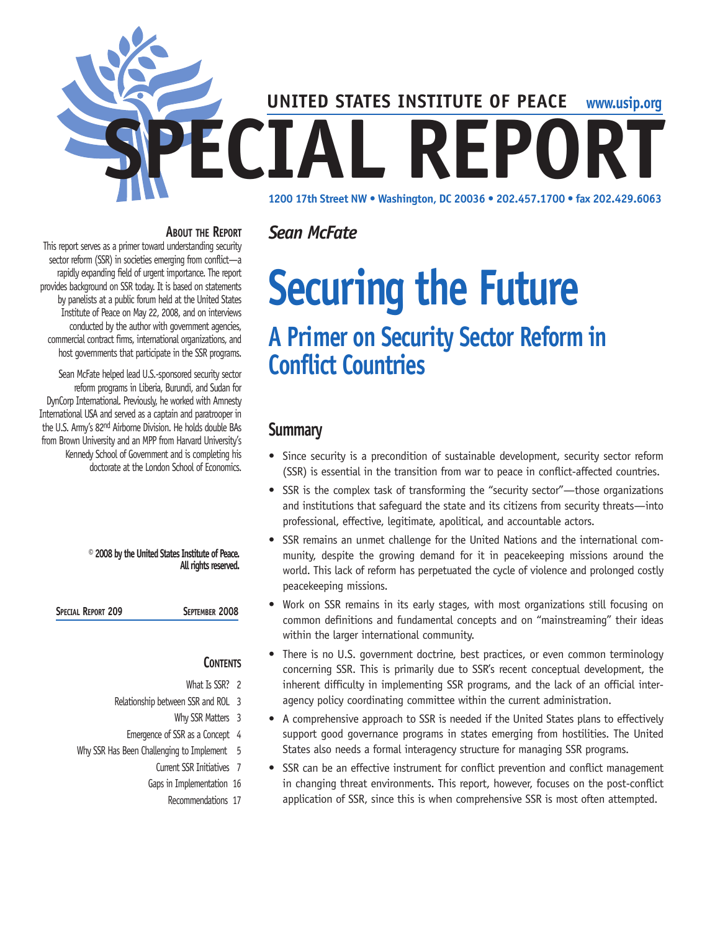

### **About the Report**

This report serves as a primer toward understanding security sector reform (SSR) in societies emerging from conflict—a rapidly expanding field of urgent importance. The report provides background on SSR today. It is based on statements by panelists at a public forum held at the United States Institute of Peace on May 22, 2008, and on interviews conducted by the author with government agencies, commercial contract firms, international organizations, and host governments that participate in the SSR programs.

Sean McFate helped lead U.S.-sponsored security sector reform programs in Liberia, Burundi, and Sudan for DynCorp International. Previously, he worked with Amnesty International USA and served as a captain and paratrooper in the U.S. Army's 82nd Airborne Division. He holds double BAs from Brown University and an MPP from Harvard University's Kennedy School of Government and is completing his doctorate at the London School of Economics.

> **© 2008 by the United States Institute of Peace. All rights reserved.**

**Special Report 209 September 2008**

### **Contents**

- What Is SSR? 2
- Relationship between SSR and ROL 3
	- Why SSR Matters 3
- Emergence of SSR as a Concept 4
- Why SSR Has Been Challenging to Implement 5
	- Current SSR Initiatives 7
	- Gaps in Implementation 16

Recommendations 17

*Sean McFate*  **Securing the Future A Primer on Security Sector Reform in Conflict Countries**

# **Summary**

- Since security is a precondition of sustainable development, security sector reform (SSR) is essential in the transition from war to peace in conflict-affected countries.
- SSR is the complex task of transforming the "security sector"—those organizations and institutions that safeguard the state and its citizens from security threats—into professional, effective, legitimate, apolitical, and accountable actors.
- SSR remains an unmet challenge for the United Nations and the international community, despite the growing demand for it in peacekeeping missions around the world. This lack of reform has perpetuated the cycle of violence and prolonged costly peacekeeping missions.
- Work on SSR remains in its early stages, with most organizations still focusing on common definitions and fundamental concepts and on "mainstreaming" their ideas within the larger international community.
- There is no U.S. government doctrine, best practices, or even common terminology concerning SSR. This is primarily due to SSR's recent conceptual development, the inherent difficulty in implementing SSR programs, and the lack of an official interagency policy coordinating committee within the current administration.
- A comprehensive approach to SSR is needed if the United States plans to effectively support good governance programs in states emerging from hostilities. The United States also needs a formal interagency structure for managing SSR programs.
- SSR can be an effective instrument for conflict prevention and conflict management in changing threat environments. This report, however, focuses on the post-conflict application of SSR, since this is when comprehensive SSR is most often attempted.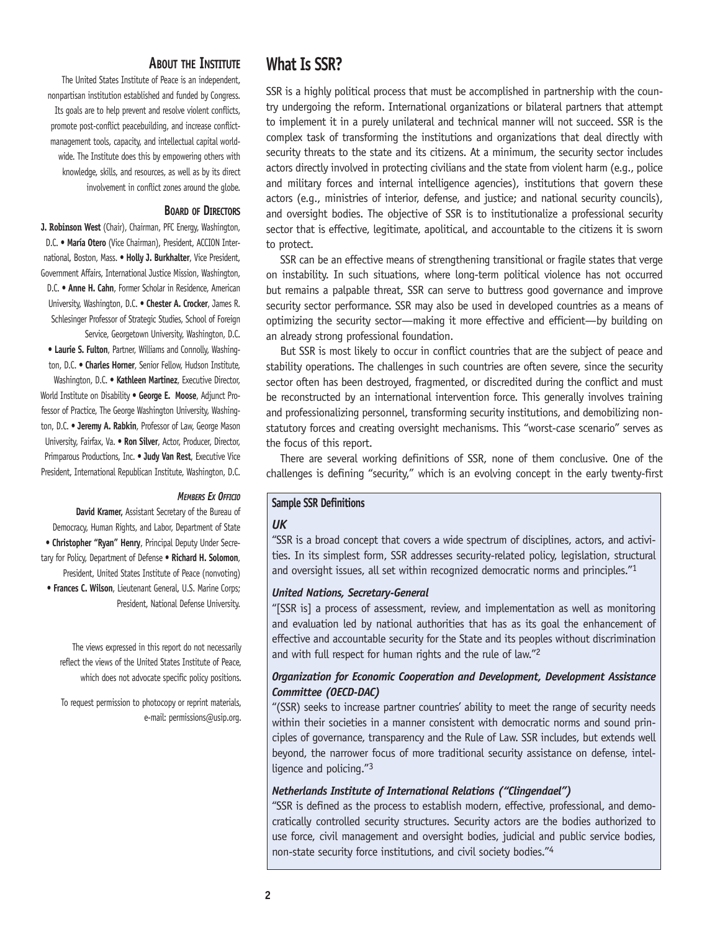### **About the Institute**

The United States Institute of Peace is an independent, nonpartisan institution established and funded by Congress. Its goals are to help prevent and resolve violent conflicts, promote post-conflict peacebuilding, and increase conflictmanagement tools, capacity, and intellectual capital worldwide. The Institute does this by empowering others with knowledge, skills, and resources, as well as by its direct involvement in conflict zones around the globe.

#### **Board of Directors**

**J. Robinson West** (Chair), Chairman, PFC Energy, Washington, D.C. • **María Otero** (Vice Chairman), President, ACCION International, Boston, Mass. • **Holly J. Burkhalter**, Vice President, Government Affairs, International Justice Mission, Washington, D.C. • **Anne H. Cahn**, Former Scholar in Residence, American University, Washington, D.C. • **Chester A. Crocker**, James R. Schlesinger Professor of Strategic Studies, School of Foreign Service, Georgetown University, Washington, D.C. • **Laurie S. Fulton**, Partner, Williams and Connolly, Washington, D.C. • **Charles Horner**, Senior Fellow, Hudson Institute, Washington, D.C. • **Kathleen Martinez**, Executive Director, World Institute on Disability • **George E. Moose**, Adjunct Professor of Practice, The George Washington University, Washington, D.C. • **Jeremy A. Rabkin**, Professor of Law, George Mason University, Fairfax, Va. • **Ron Silver**, Actor, Producer, Director, Primparous Productions, Inc. • **Judy Van Rest**, Executive Vice President, International Republican Institute, Washington, D.C.

#### *Members Ex Officio*

**David Kramer,** Assistant Secretary of the Bureau of Democracy, Human Rights, and Labor, Department of State • **Christopher "Ryan" Henry**, Principal Deputy Under Secretary for Policy, Department of Defense • **Richard H. Solomon**, President, United States Institute of Peace (nonvoting) • **Frances C. Wilson**, Lieutenant General, U.S. Marine Corps; President, National Defense University.

The views expressed in this report do not necessarily reflect the views of the United States Institute of Peace, which does not advocate specific policy positions.

To request permission to photocopy or reprint materials, e-mail: permissions@usip.org.

### **What Is SSR?**

SSR is a highly political process that must be accomplished in partnership with the country undergoing the reform. International organizations or bilateral partners that attempt to implement it in a purely unilateral and technical manner will not succeed. SSR is the complex task of transforming the institutions and organizations that deal directly with security threats to the state and its citizens. At a minimum, the security sector includes actors directly involved in protecting civilians and the state from violent harm (e.g., police and military forces and internal intelligence agencies), institutions that govern these actors (e.g., ministries of interior, defense, and justice; and national security councils), and oversight bodies. The objective of SSR is to institutionalize a professional security sector that is effective, legitimate, apolitical, and accountable to the citizens it is sworn to protect.

SSR can be an effective means of strengthening transitional or fragile states that verge on instability. In such situations, where long-term political violence has not occurred but remains a palpable threat, SSR can serve to buttress good governance and improve security sector performance. SSR may also be used in developed countries as a means of optimizing the security sector—making it more effective and efficient—by building on an already strong professional foundation.

But SSR is most likely to occur in conflict countries that are the subject of peace and stability operations. The challenges in such countries are often severe, since the security sector often has been destroyed, fragmented, or discredited during the conflict and must be reconstructed by an international intervention force. This generally involves training and professionalizing personnel, transforming security institutions, and demobilizing nonstatutory forces and creating oversight mechanisms. This "worst-case scenario" serves as the focus of this report.

There are several working definitions of SSR, none of them conclusive. One of the challenges is defining "security," which is an evolving concept in the early twenty-first

#### **Sample SSR Definitions**

#### *UK*

"SSR is a broad concept that covers a wide spectrum of disciplines, actors, and activities. In its simplest form, SSR addresses security-related policy, legislation, structural and oversight issues, all set within recognized democratic norms and principles."1

#### *United Nations, Secretary-General*

"[SSR is] a process of assessment, review, and implementation as well as monitoring and evaluation led by national authorities that has as its goal the enhancement of effective and accountable security for the State and its peoples without discrimination and with full respect for human rights and the rule of law."2

### *Organization for Economic Cooperation and Development, Development Assistance Committee (OECD-DAC)*

"(SSR) seeks to increase partner countries' ability to meet the range of security needs within their societies in a manner consistent with democratic norms and sound principles of governance, transparency and the Rule of Law. SSR includes, but extends well beyond, the narrower focus of more traditional security assistance on defense, intelligence and policing."3

#### *Netherlands Institute of International Relations ("Clingendael")*

"SSR is defined as the process to establish modern, effective, professional, and democratically controlled security structures. Security actors are the bodies authorized to use force, civil management and oversight bodies, judicial and public service bodies, non-state security force institutions, and civil society bodies."4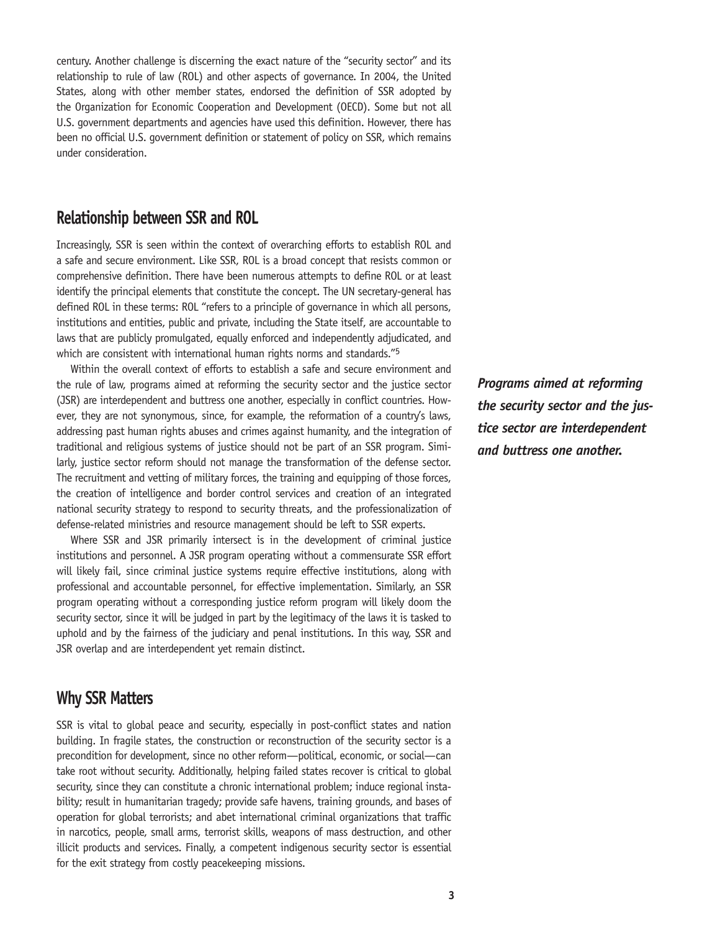century. Another challenge is discerning the exact nature of the "security sector" and its relationship to rule of law (ROL) and other aspects of governance. In 2004, the United States, along with other member states, endorsed the definition of SSR adopted by the Organization for Economic Cooperation and Development (OECD). Some but not all U.S. government departments and agencies have used this definition. However, there has been no official U.S. government definition or statement of policy on SSR, which remains under consideration.

## **Relationship between SSR and ROL**

Increasingly, SSR is seen within the context of overarching efforts to establish ROL and a safe and secure environment. Like SSR, ROL is a broad concept that resists common or comprehensive definition. There have been numerous attempts to define ROL or at least identify the principal elements that constitute the concept. The UN secretary-general has defined ROL in these terms: ROL "refers to a principle of governance in which all persons, institutions and entities, public and private, including the State itself, are accountable to laws that are publicly promulgated, equally enforced and independently adjudicated, and which are consistent with international human rights norms and standards."<sup>5</sup>

Within the overall context of efforts to establish a safe and secure environment and the rule of law, programs aimed at reforming the security sector and the justice sector (JSR) are interdependent and buttress one another, especially in conflict countries. However, they are not synonymous, since, for example, the reformation of a country's laws, addressing past human rights abuses and crimes against humanity, and the integration of traditional and religious systems of justice should not be part of an SSR program. Similarly, justice sector reform should not manage the transformation of the defense sector. The recruitment and vetting of military forces, the training and equipping of those forces, the creation of intelligence and border control services and creation of an integrated national security strategy to respond to security threats, and the professionalization of defense-related ministries and resource management should be left to SSR experts.

Where SSR and JSR primarily intersect is in the development of criminal justice institutions and personnel. A JSR program operating without a commensurate SSR effort will likely fail, since criminal justice systems require effective institutions, along with professional and accountable personnel, for effective implementation. Similarly, an SSR program operating without a corresponding justice reform program will likely doom the security sector, since it will be judged in part by the legitimacy of the laws it is tasked to uphold and by the fairness of the judiciary and penal institutions. In this way, SSR and JSR overlap and are interdependent yet remain distinct.

# **Why SSR Matters**

SSR is vital to global peace and security, especially in post-conflict states and nation building. In fragile states, the construction or reconstruction of the security sector is a precondition for development, since no other reform—political, economic, or social—can take root without security. Additionally, helping failed states recover is critical to global security, since they can constitute a chronic international problem; induce regional instability; result in humanitarian tragedy; provide safe havens, training grounds, and bases of operation for global terrorists; and abet international criminal organizations that traffic in narcotics, people, small arms, terrorist skills, weapons of mass destruction, and other illicit products and services. Finally, a competent indigenous security sector is essential for the exit strategy from costly peacekeeping missions.

*Programs aimed at reforming the security sector and the justice sector are interdependent and buttress one another.*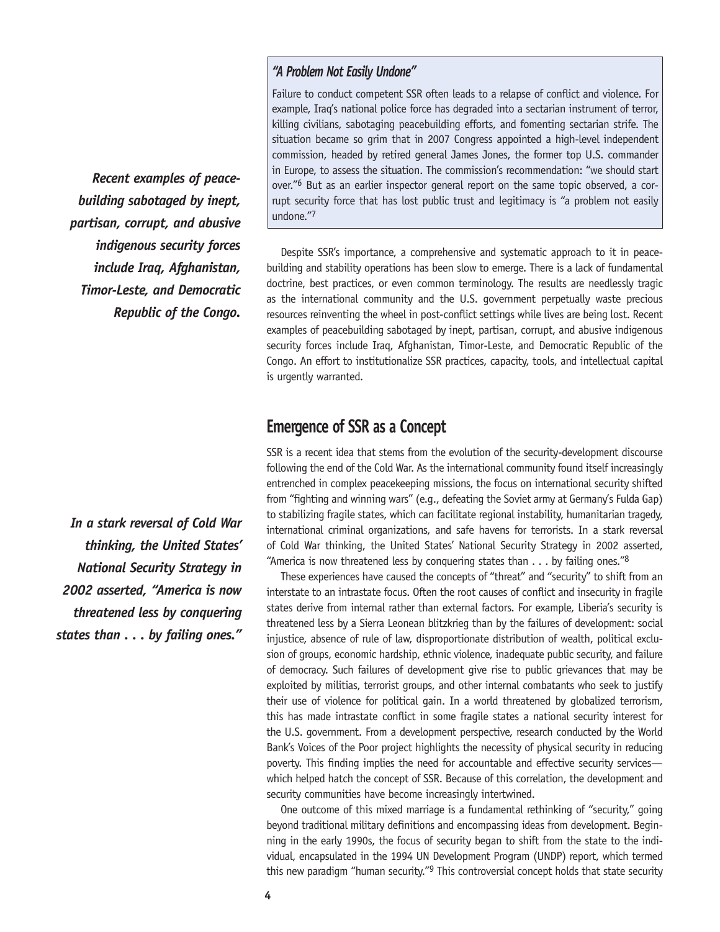### *"A Problem Not Easily Undone"*

*Recent examples of peacebuilding sabotaged by inept, partisan, corrupt, and abusive indigenous security forces include Iraq, Afghanistan, Timor-Leste, and Democratic Republic of the Congo.*

*In a stark reversal of Cold War thinking, the United States' National Security Strategy in 2002 asserted, "America is now threatened less by conquering states than . . . by failing ones."*

Failure to conduct competent SSR often leads to a relapse of conflict and violence. For example, Iraq's national police force has degraded into a sectarian instrument of terror, killing civilians, sabotaging peacebuilding efforts, and fomenting sectarian strife. The situation became so grim that in 2007 Congress appointed a high-level independent commission, headed by retired general James Jones, the former top U.S. commander in Europe, to assess the situation. The commission's recommendation: "we should start over."6 But as an earlier inspector general report on the same topic observed, a corrupt security force that has lost public trust and legitimacy is "a problem not easily undone."7

Despite SSR's importance, a comprehensive and systematic approach to it in peacebuilding and stability operations has been slow to emerge. There is a lack of fundamental doctrine, best practices, or even common terminology. The results are needlessly tragic as the international community and the U.S. government perpetually waste precious resources reinventing the wheel in post-conflict settings while lives are being lost. Recent examples of peacebuilding sabotaged by inept, partisan, corrupt, and abusive indigenous security forces include Iraq, Afghanistan, Timor-Leste, and Democratic Republic of the Congo. An effort to institutionalize SSR practices, capacity, tools, and intellectual capital is urgently warranted.

# **Emergence of SSR as a Concept**

SSR is a recent idea that stems from the evolution of the security-development discourse following the end of the Cold War. As the international community found itself increasingly entrenched in complex peacekeeping missions, the focus on international security shifted from "fighting and winning wars" (e.g., defeating the Soviet army at Germany's Fulda Gap) to stabilizing fragile states, which can facilitate regional instability, humanitarian tragedy, international criminal organizations, and safe havens for terrorists. In a stark reversal of Cold War thinking, the United States' National Security Strategy in 2002 asserted, "America is now threatened less by conquering states than  $\ldots$  by failing ones."8

These experiences have caused the concepts of "threat" and "security" to shift from an interstate to an intrastate focus. Often the root causes of conflict and insecurity in fragile states derive from internal rather than external factors. For example, Liberia's security is threatened less by a Sierra Leonean blitzkrieg than by the failures of development: social injustice, absence of rule of law, disproportionate distribution of wealth, political exclusion of groups, economic hardship, ethnic violence, inadequate public security, and failure of democracy. Such failures of development give rise to public grievances that may be exploited by militias, terrorist groups, and other internal combatants who seek to justify their use of violence for political gain. In a world threatened by globalized terrorism, this has made intrastate conflict in some fragile states a national security interest for the U.S. government. From a development perspective, research conducted by the World Bank's Voices of the Poor project highlights the necessity of physical security in reducing poverty. This finding implies the need for accountable and effective security services which helped hatch the concept of SSR. Because of this correlation, the development and security communities have become increasingly intertwined.

One outcome of this mixed marriage is a fundamental rethinking of "security," going beyond traditional military definitions and encompassing ideas from development. Beginning in the early 1990s, the focus of security began to shift from the state to the individual, encapsulated in the 1994 UN Development Program (UNDP) report, which termed this new paradigm "human security."<sup>9</sup> This controversial concept holds that state security

**4**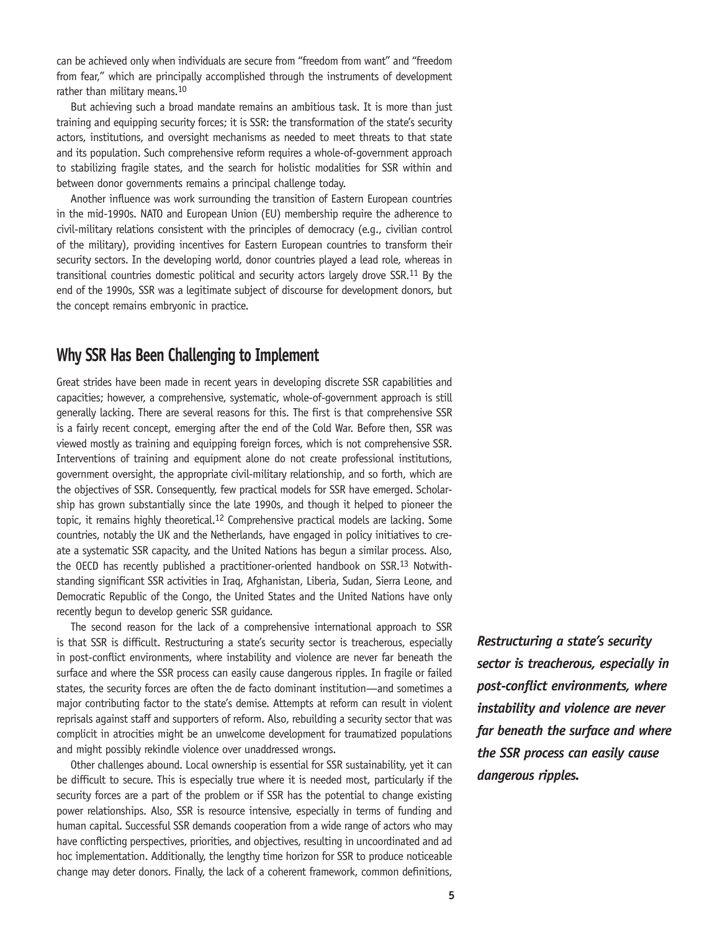can be achieved only when individuals are secure from "freedom from want" and "freedom from fear," which are principally accomplished through the instruments of development rather than military means.<sup>10</sup>

But achieving such a broad mandate remains an ambitious task. It is more than just training and equipping security forces; it is SSR: the transformation of the state's security actors, institutions, and oversight mechanisms as needed to meet threats to that state and its population. Such comprehensive reform requires a whole-of-government approach to stabilizing fragile states, and the search for holistic modalities for SSR within and between donor governments remains a principal challenge today.

Another influence was work surrounding the transition of Eastern European countries in the mid-1990s. NATO and European Union (EU) membership require the adherence to civil-military relations consistent with the principles of democracy (e.g., civilian control of the military), providing incentives for Eastern European countries to transform their security sectors. In the developing world, donor countries played a lead role, whereas in transitional countries domestic political and security actors largely drove SSR.11 By the end of the 1990s, SSR was a legitimate subject of discourse for development donors, but the concept remains embryonic in practice.

# **Why SSR Has Been Challenging to Implement**

Great strides have been made in recent years in developing discrete SSR capabilities and capacities; however, a comprehensive, systematic, whole-of-government approach is still generally lacking. There are several reasons for this. The first is that comprehensive SSR is a fairly recent concept, emerging after the end of the Cold War. Before then, SSR was viewed mostly as training and equipping foreign forces, which is not comprehensive SSR. Interventions of training and equipment alone do not create professional institutions, government oversight, the appropriate civil-military relationship, and so forth, which are the objectives of SSR. Consequently, few practical models for SSR have emerged. Scholarship has grown substantially since the late 1990s, and though it helped to pioneer the topic, it remains highly theoretical.<sup>12</sup> Comprehensive practical models are lacking. Some countries, notably the UK and the Netherlands, have engaged in policy initiatives to create a systematic SSR capacity, and the United Nations has begun a similar process. Also, the OECD has recently published a practitioner-oriented handbook on SSR.<sup>13</sup> Notwithstanding significant SSR activities in Iraq, Afghanistan, Liberia, Sudan, Sierra Leone, and Democratic Republic of the Congo, the United States and the United Nations have only recently begun to develop generic SSR guidance.

The second reason for the lack of a comprehensive international approach to SSR is that SSR is difficult. Restructuring a state's security sector is treacherous, especially in post-conflict environments, where instability and violence are never far beneath the surface and where the SSR process can easily cause dangerous ripples. In fragile or failed states, the security forces are often the de facto dominant institution—and sometimes a major contributing factor to the state's demise. Attempts at reform can result in violent reprisals against staff and supporters of reform. Also, rebuilding a security sector that was complicit in atrocities might be an unwelcome development for traumatized populations and might possibly rekindle violence over unaddressed wrongs.

Other challenges abound. Local ownership is essential for SSR sustainability, yet it can be difficult to secure. This is especially true where it is needed most, particularly if the security forces are a part of the problem or if SSR has the potential to change existing power relationships. Also, SSR is resource intensive, especially in terms of funding and human capital. Successful SSR demands cooperation from a wide range of actors who may have conflicting perspectives, priorities, and objectives, resulting in uncoordinated and ad hoc implementation. Additionally, the lengthy time horizon for SSR to produce noticeable change may deter donors. Finally, the lack of a coherent framework, common definitions,

*Restructuring a state's security sector is treacherous, especially in post-conflict environments, where instability and violence are never far beneath the surface and where the SSR process can easily cause dangerous ripples.*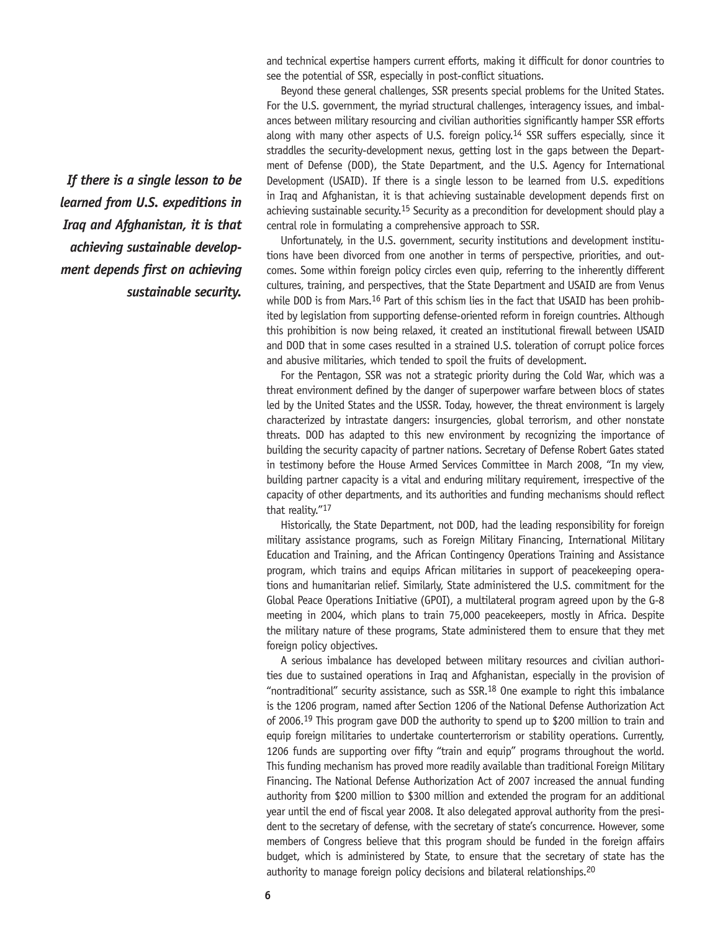and technical expertise hampers current efforts, making it difficult for donor countries to see the potential of SSR, especially in post-conflict situations.

Beyond these general challenges, SSR presents special problems for the United States. For the U.S. government, the myriad structural challenges, interagency issues, and imbalances between military resourcing and civilian authorities significantly hamper SSR efforts along with many other aspects of U.S. foreign policy.<sup>14</sup> SSR suffers especially, since it straddles the security-development nexus, getting lost in the gaps between the Department of Defense (DOD), the State Department, and the U.S. Agency for International Development (USAID). If there is a single lesson to be learned from U.S. expeditions in Iraq and Afghanistan, it is that achieving sustainable development depends first on achieving sustainable security.<sup>15</sup> Security as a precondition for development should play a central role in formulating a comprehensive approach to SSR.

Unfortunately, in the U.S. government, security institutions and development institutions have been divorced from one another in terms of perspective, priorities, and outcomes. Some within foreign policy circles even quip, referring to the inherently different cultures, training, and perspectives, that the State Department and USAID are from Venus while DOD is from Mars.<sup>16</sup> Part of this schism lies in the fact that USAID has been prohibited by legislation from supporting defense-oriented reform in foreign countries. Although this prohibition is now being relaxed, it created an institutional firewall between USAID and DOD that in some cases resulted in a strained U.S. toleration of corrupt police forces and abusive militaries, which tended to spoil the fruits of development.

For the Pentagon, SSR was not a strategic priority during the Cold War, which was a threat environment defined by the danger of superpower warfare between blocs of states led by the United States and the USSR. Today, however, the threat environment is largely characterized by intrastate dangers: insurgencies, global terrorism, and other nonstate threats. DOD has adapted to this new environment by recognizing the importance of building the security capacity of partner nations. Secretary of Defense Robert Gates stated in testimony before the House Armed Services Committee in March 2008, "In my view, building partner capacity is a vital and enduring military requirement, irrespective of the capacity of other departments, and its authorities and funding mechanisms should reflect that reality."17

Historically, the State Department, not DOD, had the leading responsibility for foreign military assistance programs, such as Foreign Military Financing, International Military Education and Training, and the African Contingency Operations Training and Assistance program, which trains and equips African militaries in support of peacekeeping operations and humanitarian relief. Similarly, State administered the U.S. commitment for the Global Peace Operations Initiative (GPOI), a multilateral program agreed upon by the G-8 meeting in 2004, which plans to train 75,000 peacekeepers, mostly in Africa. Despite the military nature of these programs, State administered them to ensure that they met foreign policy objectives.

A serious imbalance has developed between military resources and civilian authorities due to sustained operations in Iraq and Afghanistan, especially in the provision of "nontraditional" security assistance, such as  $SSR<sup>18</sup>$  One example to right this imbalance is the 1206 program, named after Section 1206 of the National Defense Authorization Act of 2006.19 This program gave DOD the authority to spend up to \$200 million to train and equip foreign militaries to undertake counterterrorism or stability operations. Currently, 1206 funds are supporting over fifty "train and equip" programs throughout the world. This funding mechanism has proved more readily available than traditional Foreign Military Financing. The National Defense Authorization Act of 2007 increased the annual funding authority from \$200 million to \$300 million and extended the program for an additional year until the end of fiscal year 2008. It also delegated approval authority from the president to the secretary of defense, with the secretary of state's concurrence. However, some members of Congress believe that this program should be funded in the foreign affairs budget, which is administered by State, to ensure that the secretary of state has the authority to manage foreign policy decisions and bilateral relationships.20

 *If there is a single lesson to be learned from U.S. expeditions in Iraq and Afghanistan, it is that achieving sustainable development depends first on achieving sustainable security.*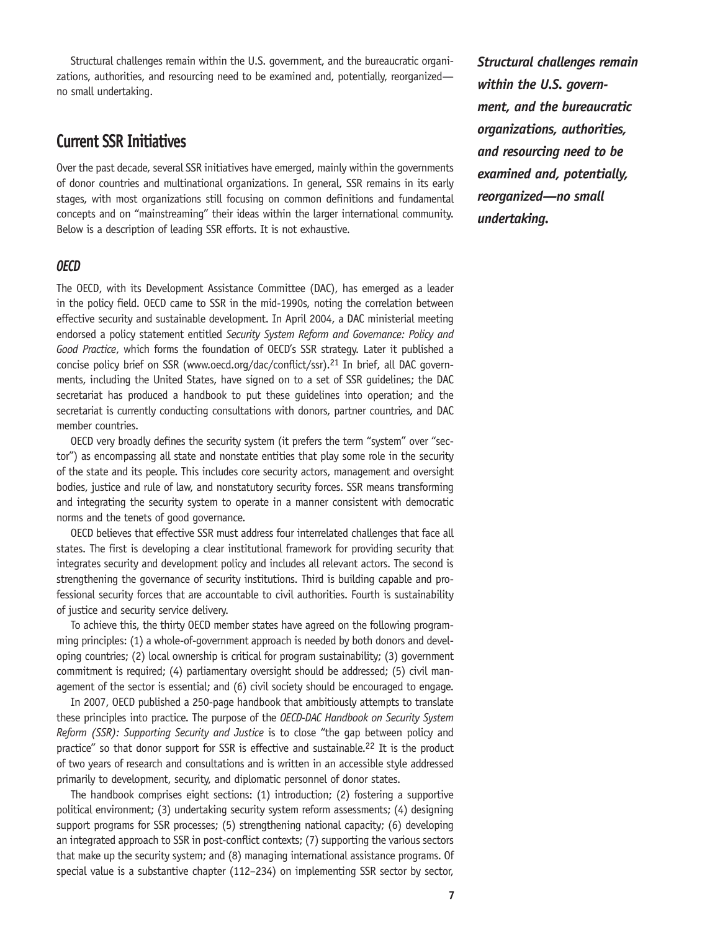Structural challenges remain within the U.S. government, and the bureaucratic organizations, authorities, and resourcing need to be examined and, potentially, reorganized no small undertaking.

# **Current SSR Initiatives**

Over the past decade, several SSR initiatives have emerged, mainly within the governments of donor countries and multinational organizations. In general, SSR remains in its early stages, with most organizations still focusing on common definitions and fundamental concepts and on "mainstreaming" their ideas within the larger international community. Below is a description of leading SSR efforts. It is not exhaustive.

### *OECD*

The OECD, with its Development Assistance Committee (DAC), has emerged as a leader in the policy field. OECD came to SSR in the mid-1990s, noting the correlation between effective security and sustainable development. In April 2004, a DAC ministerial meeting endorsed a policy statement entitled *Security System Reform and Governance: Policy and Good Practice*, which forms the foundation of OECD's SSR strategy. Later it published a concise policy brief on SSR (www.oecd.org/dac/conflict/ssr).<sup>21</sup> In brief, all DAC governments, including the United States, have signed on to a set of SSR guidelines; the DAC secretariat has produced a handbook to put these guidelines into operation; and the secretariat is currently conducting consultations with donors, partner countries, and DAC member countries.

OECD very broadly defines the security system (it prefers the term "system" over "sector") as encompassing all state and nonstate entities that play some role in the security of the state and its people. This includes core security actors, management and oversight bodies, justice and rule of law, and nonstatutory security forces. SSR means transforming and integrating the security system to operate in a manner consistent with democratic norms and the tenets of good governance.

OECD believes that effective SSR must address four interrelated challenges that face all states. The first is developing a clear institutional framework for providing security that integrates security and development policy and includes all relevant actors. The second is strengthening the governance of security institutions. Third is building capable and professional security forces that are accountable to civil authorities. Fourth is sustainability of justice and security service delivery.

To achieve this, the thirty OECD member states have agreed on the following programming principles: (1) a whole-of-government approach is needed by both donors and developing countries; (2) local ownership is critical for program sustainability; (3) government commitment is required; (4) parliamentary oversight should be addressed; (5) civil management of the sector is essential; and (6) civil society should be encouraged to engage.

In 2007, OECD published a 250-page handbook that ambitiously attempts to translate these principles into practice. The purpose of the *OECD-DAC Handbook on Security System Reform (SSR): Supporting Security and Justice* is to close "the gap between policy and practice" so that donor support for SSR is effective and sustainable.22 It is the product of two years of research and consultations and is written in an accessible style addressed primarily to development, security, and diplomatic personnel of donor states.

The handbook comprises eight sections: (1) introduction; (2) fostering a supportive political environment; (3) undertaking security system reform assessments; (4) designing support programs for SSR processes; (5) strengthening national capacity; (6) developing an integrated approach to SSR in post-conflict contexts; (7) supporting the various sectors that make up the security system; and (8) managing international assistance programs. Of special value is a substantive chapter (112–234) on implementing SSR sector by sector,

*Structural challenges remain within the U.S. government, and the bureaucratic organizations, authorities, and resourcing need to be examined and, potentially, reorganized—no small undertaking.*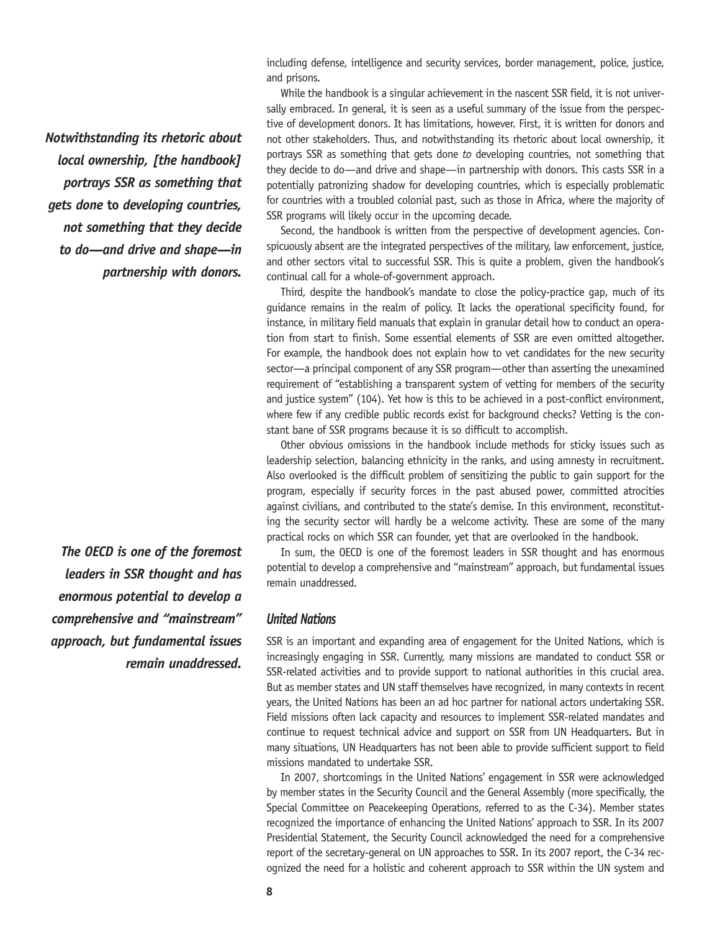including defense, intelligence and security services, border management, police, justice, and prisons.

While the handbook is a singular achievement in the nascent SSR field, it is not universally embraced. In general, it is seen as a useful summary of the issue from the perspective of development donors. It has limitations, however. First, it is written for donors and not other stakeholders. Thus, and notwithstanding its rhetoric about local ownership, it portrays SSR as something that gets done *to* developing countries, not something that they decide to do—and drive and shape—in partnership with donors. This casts SSR in a potentially patronizing shadow for developing countries, which is especially problematic for countries with a troubled colonial past, such as those in Africa, where the majority of SSR programs will likely occur in the upcoming decade.

Second, the handbook is written from the perspective of development agencies. Conspicuously absent are the integrated perspectives of the military, law enforcement, justice, and other sectors vital to successful SSR. This is quite a problem, given the handbook's continual call for a whole-of-government approach.

Third, despite the handbook's mandate to close the policy-practice gap, much of its guidance remains in the realm of policy. It lacks the operational specificity found, for instance, in military field manuals that explain in granular detail how to conduct an operation from start to finish. Some essential elements of SSR are even omitted altogether. For example, the handbook does not explain how to vet candidates for the new security sector—a principal component of any SSR program—other than asserting the unexamined requirement of "establishing a transparent system of vetting for members of the security and justice system" (104). Yet how is this to be achieved in a post-conflict environment, where few if any credible public records exist for background checks? Vetting is the constant bane of SSR programs because it is so difficult to accomplish.

Other obvious omissions in the handbook include methods for sticky issues such as leadership selection, balancing ethnicity in the ranks, and using amnesty in recruitment. Also overlooked is the difficult problem of sensitizing the public to gain support for the program, especially if security forces in the past abused power, committed atrocities against civilians, and contributed to the state's demise. In this environment, reconstituting the security sector will hardly be a welcome activity. These are some of the many practical rocks on which SSR can founder, yet that are overlooked in the handbook.

In sum, the OECD is one of the foremost leaders in SSR thought and has enormous potential to develop a comprehensive and "mainstream" approach, but fundamental issues remain unaddressed.

#### *United Nations*

SSR is an important and expanding area of engagement for the United Nations, which is increasingly engaging in SSR. Currently, many missions are mandated to conduct SSR or SSR-related activities and to provide support to national authorities in this crucial area. But as member states and UN staff themselves have recognized, in many contexts in recent years, the United Nations has been an ad hoc partner for national actors undertaking SSR. Field missions often lack capacity and resources to implement SSR-related mandates and continue to request technical advice and support on SSR from UN Headquarters. But in many situations, UN Headquarters has not been able to provide sufficient support to field missions mandated to undertake SSR.

In 2007, shortcomings in the United Nations' engagement in SSR were acknowledged by member states in the Security Council and the General Assembly (more specifically, the Special Committee on Peacekeeping Operations, referred to as the C-34). Member states recognized the importance of enhancing the United Nations' approach to SSR. In its 2007 Presidential Statement, the Security Council acknowledged the need for a comprehensive report of the secretary-general on UN approaches to SSR. In its 2007 report, the C-34 recognized the need for a holistic and coherent approach to SSR within the UN system and

*Notwithstanding its rhetoric about local ownership, [the handbook] portrays SSR as something that gets done* **to** *developing countries, not something that they decide to do—and drive and shape—in partnership with donors.*

*The OECD is one of the foremost leaders in SSR thought and has enormous potential to develop a comprehensive and "mainstream" approach, but fundamental issues remain unaddressed.*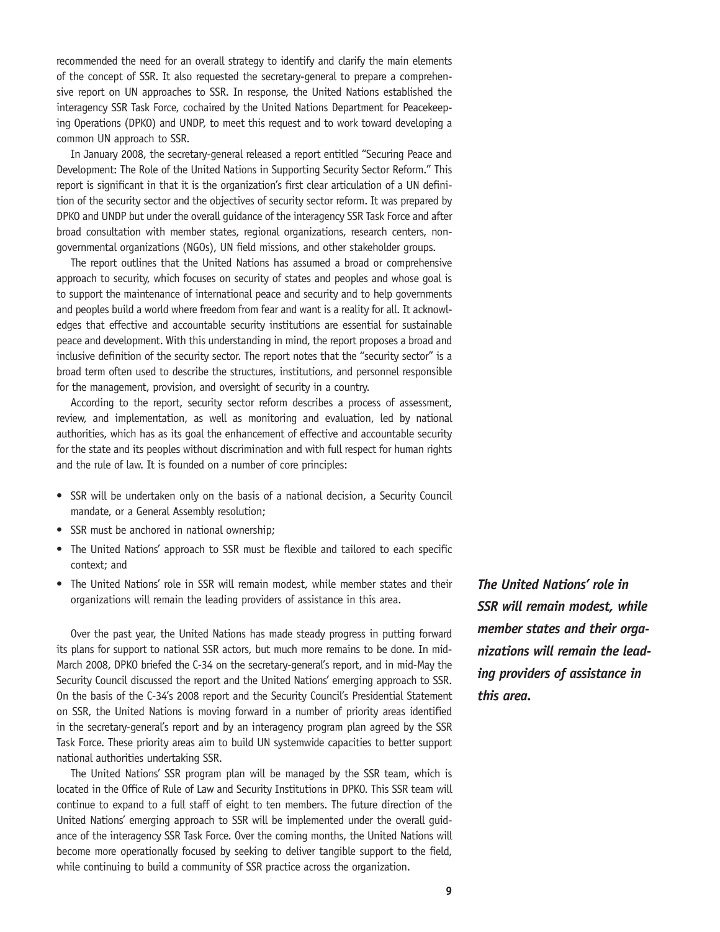recommended the need for an overall strategy to identify and clarify the main elements of the concept of SSR. It also requested the secretary-general to prepare a comprehensive report on UN approaches to SSR. In response, the United Nations established the interagency SSR Task Force, cochaired by the United Nations Department for Peacekeeping Operations (DPKO) and UNDP, to meet this request and to work toward developing a common UN approach to SSR.

In January 2008, the secretary-general released a report entitled "Securing Peace and Development: The Role of the United Nations in Supporting Security Sector Reform." This report is significant in that it is the organization's first clear articulation of a UN definition of the security sector and the objectives of security sector reform. It was prepared by DPKO and UNDP but under the overall guidance of the interagency SSR Task Force and after broad consultation with member states, regional organizations, research centers, nongovernmental organizations (NGOs), UN field missions, and other stakeholder groups.

The report outlines that the United Nations has assumed a broad or comprehensive approach to security, which focuses on security of states and peoples and whose goal is to support the maintenance of international peace and security and to help governments and peoples build a world where freedom from fear and want is a reality for all. It acknowledges that effective and accountable security institutions are essential for sustainable peace and development. With this understanding in mind, the report proposes a broad and inclusive definition of the security sector. The report notes that the "security sector" is a broad term often used to describe the structures, institutions, and personnel responsible for the management, provision, and oversight of security in a country.

According to the report, security sector reform describes a process of assessment, review, and implementation, as well as monitoring and evaluation, led by national authorities, which has as its goal the enhancement of effective and accountable security for the state and its peoples without discrimination and with full respect for human rights and the rule of law. It is founded on a number of core principles:

- SSR will be undertaken only on the basis of a national decision, a Security Council mandate, or a General Assembly resolution;
- SSR must be anchored in national ownership;
- The United Nations' approach to SSR must be flexible and tailored to each specific context; and
- The United Nations' role in SSR will remain modest, while member states and their organizations will remain the leading providers of assistance in this area.

Over the past year, the United Nations has made steady progress in putting forward its plans for support to national SSR actors, but much more remains to be done. In mid-March 2008, DPKO briefed the C-34 on the secretary-general's report, and in mid-May the Security Council discussed the report and the United Nations' emerging approach to SSR. On the basis of the C-34's 2008 report and the Security Council's Presidential Statement on SSR, the United Nations is moving forward in a number of priority areas identified in the secretary-general's report and by an interagency program plan agreed by the SSR Task Force. These priority areas aim to build UN systemwide capacities to better support national authorities undertaking SSR.

The United Nations' SSR program plan will be managed by the SSR team, which is located in the Office of Rule of Law and Security Institutions in DPKO. This SSR team will continue to expand to a full staff of eight to ten members. The future direction of the United Nations' emerging approach to SSR will be implemented under the overall guidance of the interagency SSR Task Force. Over the coming months, the United Nations will become more operationally focused by seeking to deliver tangible support to the field, while continuing to build a community of SSR practice across the organization.

*The United Nations' role in SSR will remain modest, while member states and their organizations will remain the leading providers of assistance in this area.*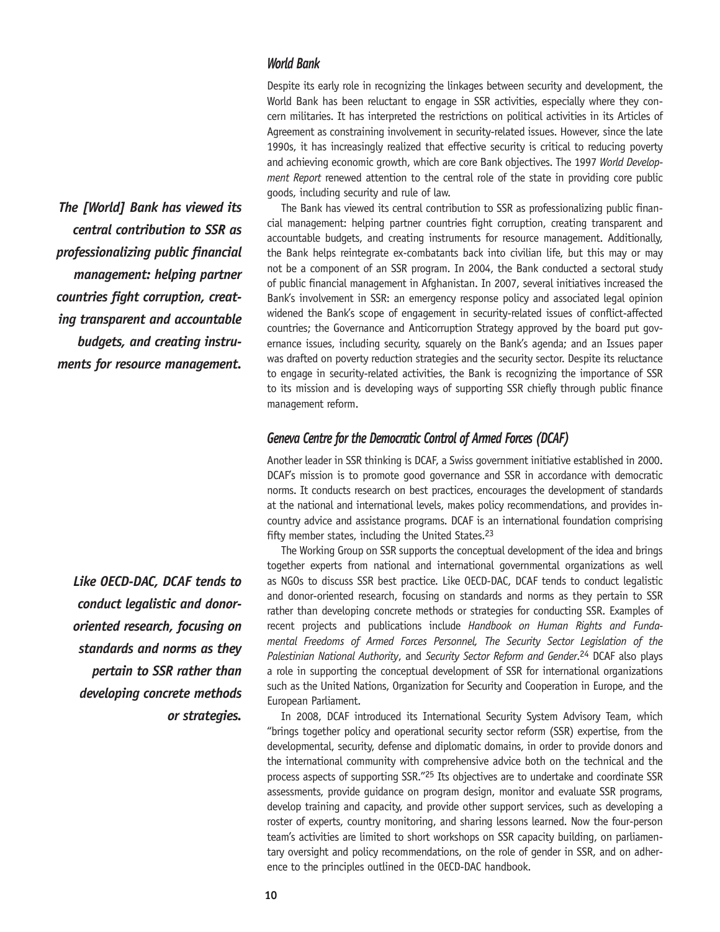#### *World Bank*

Despite its early role in recognizing the linkages between security and development, the World Bank has been reluctant to engage in SSR activities, especially where they concern militaries. It has interpreted the restrictions on political activities in its Articles of Agreement as constraining involvement in security-related issues. However, since the late 1990s, it has increasingly realized that effective security is critical to reducing poverty and achieving economic growth, which are core Bank objectives. The 1997 *World Development Report* renewed attention to the central role of the state in providing core public goods, including security and rule of law.

The Bank has viewed its central contribution to SSR as professionalizing public financial management: helping partner countries fight corruption, creating transparent and accountable budgets, and creating instruments for resource management. Additionally, the Bank helps reintegrate ex-combatants back into civilian life, but this may or may not be a component of an SSR program. In 2004, the Bank conducted a sectoral study of public financial management in Afghanistan. In 2007, several initiatives increased the Bank's involvement in SSR: an emergency response policy and associated legal opinion widened the Bank's scope of engagement in security-related issues of conflict-affected countries; the Governance and Anticorruption Strategy approved by the board put governance issues, including security, squarely on the Bank's agenda; and an Issues paper was drafted on poverty reduction strategies and the security sector. Despite its reluctance to engage in security-related activities, the Bank is recognizing the importance of SSR to its mission and is developing ways of supporting SSR chiefly through public finance management reform.

### *Geneva Centre for the Democratic Control of Armed Forces (DCAF)*

Another leader in SSR thinking is DCAF, a Swiss government initiative established in 2000. DCAF's mission is to promote good governance and SSR in accordance with democratic norms. It conducts research on best practices, encourages the development of standards at the national and international levels, makes policy recommendations, and provides incountry advice and assistance programs. DCAF is an international foundation comprising fifty member states, including the United States.23

The Working Group on SSR supports the conceptual development of the idea and brings together experts from national and international governmental organizations as well as NGOs to discuss SSR best practice. Like OECD-DAC, DCAF tends to conduct legalistic and donor-oriented research, focusing on standards and norms as they pertain to SSR rather than developing concrete methods or strategies for conducting SSR. Examples of recent projects and publications include *Handbook on Human Rights and Fundamental Freedoms of Armed Forces Personnel, The Security Sector Legislation of the Palestinian National Authority*, and *Security Sector Reform and Gender*.24 DCAF also plays a role in supporting the conceptual development of SSR for international organizations such as the United Nations, Organization for Security and Cooperation in Europe, and the European Parliament.

In 2008, DCAF introduced its International Security System Advisory Team, which "brings together policy and operational security sector reform (SSR) expertise, from the developmental, security, defense and diplomatic domains, in order to provide donors and the international community with comprehensive advice both on the technical and the process aspects of supporting SSR."25 Its objectives are to undertake and coordinate SSR assessments, provide guidance on program design, monitor and evaluate SSR programs, develop training and capacity, and provide other support services, such as developing a roster of experts, country monitoring, and sharing lessons learned. Now the four-person team's activities are limited to short workshops on SSR capacity building, on parliamentary oversight and policy recommendations, on the role of gender in SSR, and on adherence to the principles outlined in the OECD-DAC handbook.

*The [World] Bank has viewed its central contribution to SSR as professionalizing public financial management: helping partner countries fight corruption, creating transparent and accountable budgets, and creating instruments for resource management.* 

*Like OECD-DAC, DCAF tends to conduct legalistic and donororiented research, focusing on standards and norms as they pertain to SSR rather than developing concrete methods or strategies.*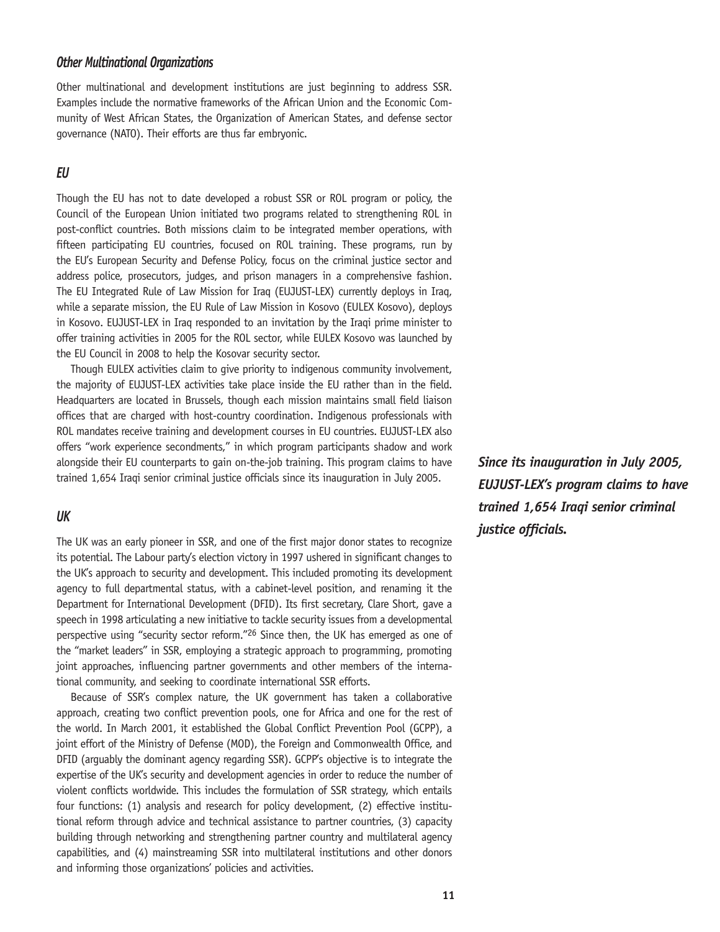### *Other Multinational Organizations*

Other multinational and development institutions are just beginning to address SSR. Examples include the normative frameworks of the African Union and the Economic Community of West African States, the Organization of American States, and defense sector governance (NATO). Their efforts are thus far embryonic.

### *EU*

Though the EU has not to date developed a robust SSR or ROL program or policy, the Council of the European Union initiated two programs related to strengthening ROL in post-conflict countries. Both missions claim to be integrated member operations, with fifteen participating EU countries, focused on ROL training. These programs, run by the EU's European Security and Defense Policy, focus on the criminal justice sector and address police, prosecutors, judges, and prison managers in a comprehensive fashion. The EU Integrated Rule of Law Mission for Iraq (EUJUST-LEX) currently deploys in Iraq, while a separate mission, the EU Rule of Law Mission in Kosovo (EULEX Kosovo), deploys in Kosovo. EUJUST-LEX in Iraq responded to an invitation by the Iraqi prime minister to offer training activities in 2005 for the ROL sector, while EULEX Kosovo was launched by the EU Council in 2008 to help the Kosovar security sector.

Though EULEX activities claim to give priority to indigenous community involvement, the majority of EUJUST-LEX activities take place inside the EU rather than in the field. Headquarters are located in Brussels, though each mission maintains small field liaison offices that are charged with host-country coordination. Indigenous professionals with ROL mandates receive training and development courses in EU countries. EUJUST-LEX also offers "work experience secondments," in which program participants shadow and work alongside their EU counterparts to gain on-the-job training. This program claims to have trained 1,654 Iraqi senior criminal justice officials since its inauguration in July 2005.

### *UK*

The UK was an early pioneer in SSR, and one of the first major donor states to recognize its potential. The Labour party's election victory in 1997 ushered in significant changes to the UK's approach to security and development. This included promoting its development agency to full departmental status, with a cabinet-level position, and renaming it the Department for International Development (DFID). Its first secretary, Clare Short, gave a speech in 1998 articulating a new initiative to tackle security issues from a developmental perspective using "security sector reform."<sup>26</sup> Since then, the UK has emerged as one of the "market leaders" in SSR, employing a strategic approach to programming, promoting joint approaches, influencing partner governments and other members of the international community, and seeking to coordinate international SSR efforts.

Because of SSR's complex nature, the UK government has taken a collaborative approach, creating two conflict prevention pools, one for Africa and one for the rest of the world. In March 2001, it established the Global Conflict Prevention Pool (GCPP), a joint effort of the Ministry of Defense (MOD), the Foreign and Commonwealth Office, and DFID (arguably the dominant agency regarding SSR). GCPP's objective is to integrate the expertise of the UK's security and development agencies in order to reduce the number of violent conflicts worldwide. This includes the formulation of SSR strategy, which entails four functions: (1) analysis and research for policy development, (2) effective institutional reform through advice and technical assistance to partner countries, (3) capacity building through networking and strengthening partner country and multilateral agency capabilities, and (4) mainstreaming SSR into multilateral institutions and other donors and informing those organizations' policies and activities.

*Since its inauguration in July 2005, EUJUST-LEX's program claims to have trained 1,654 Iraqi senior criminal justice officials.*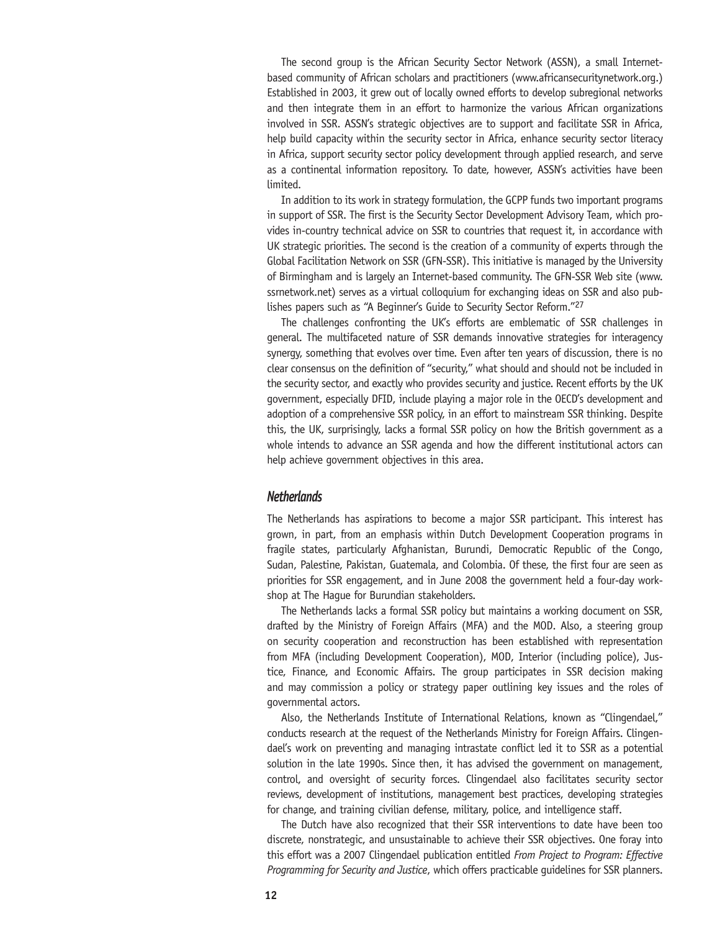The second group is the African Security Sector Network (ASSN), a small Internetbased community of African scholars and practitioners (www.africansecuritynetwork.org.) Established in 2003, it grew out of locally owned efforts to develop subregional networks and then integrate them in an effort to harmonize the various African organizations involved in SSR. ASSN's strategic objectives are to support and facilitate SSR in Africa, help build capacity within the security sector in Africa, enhance security sector literacy in Africa, support security sector policy development through applied research, and serve as a continental information repository. To date, however, ASSN's activities have been limited.

In addition to its work in strategy formulation, the GCPP funds two important programs in support of SSR. The first is the Security Sector Development Advisory Team, which provides in-country technical advice on SSR to countries that request it, in accordance with UK strategic priorities. The second is the creation of a community of experts through the Global Facilitation Network on SSR (GFN-SSR). This initiative is managed by the University of Birmingham and is largely an Internet-based community. The GFN-SSR Web site (www. ssrnetwork.net) serves as a virtual colloquium for exchanging ideas on SSR and also publishes papers such as "A Beginner's Guide to Security Sector Reform."27

The challenges confronting the UK's efforts are emblematic of SSR challenges in general. The multifaceted nature of SSR demands innovative strategies for interagency synergy, something that evolves over time. Even after ten years of discussion, there is no clear consensus on the definition of "security," what should and should not be included in the security sector, and exactly who provides security and justice. Recent efforts by the UK government, especially DFID, include playing a major role in the OECD's development and adoption of a comprehensive SSR policy, in an effort to mainstream SSR thinking. Despite this, the UK, surprisingly, lacks a formal SSR policy on how the British government as a whole intends to advance an SSR agenda and how the different institutional actors can help achieve government objectives in this area.

#### *Netherlands*

The Netherlands has aspirations to become a major SSR participant. This interest has grown, in part, from an emphasis within Dutch Development Cooperation programs in fragile states, particularly Afghanistan, Burundi, Democratic Republic of the Congo, Sudan, Palestine, Pakistan, Guatemala, and Colombia. Of these, the first four are seen as priorities for SSR engagement, and in June 2008 the government held a four-day workshop at The Hague for Burundian stakeholders.

The Netherlands lacks a formal SSR policy but maintains a working document on SSR, drafted by the Ministry of Foreign Affairs (MFA) and the MOD. Also, a steering group on security cooperation and reconstruction has been established with representation from MFA (including Development Cooperation), MOD, Interior (including police), Justice, Finance, and Economic Affairs. The group participates in SSR decision making and may commission a policy or strategy paper outlining key issues and the roles of governmental actors.

Also, the Netherlands Institute of International Relations, known as "Clingendael," conducts research at the request of the Netherlands Ministry for Foreign Affairs. Clingendael's work on preventing and managing intrastate conflict led it to SSR as a potential solution in the late 1990s. Since then, it has advised the government on management, control, and oversight of security forces. Clingendael also facilitates security sector reviews, development of institutions, management best practices, developing strategies for change, and training civilian defense, military, police, and intelligence staff.

The Dutch have also recognized that their SSR interventions to date have been too discrete, nonstrategic, and unsustainable to achieve their SSR objectives. One foray into this effort was a 2007 Clingendael publication entitled *From Project to Program: Effective Programming for Security and Justice*, which offers practicable guidelines for SSR planners.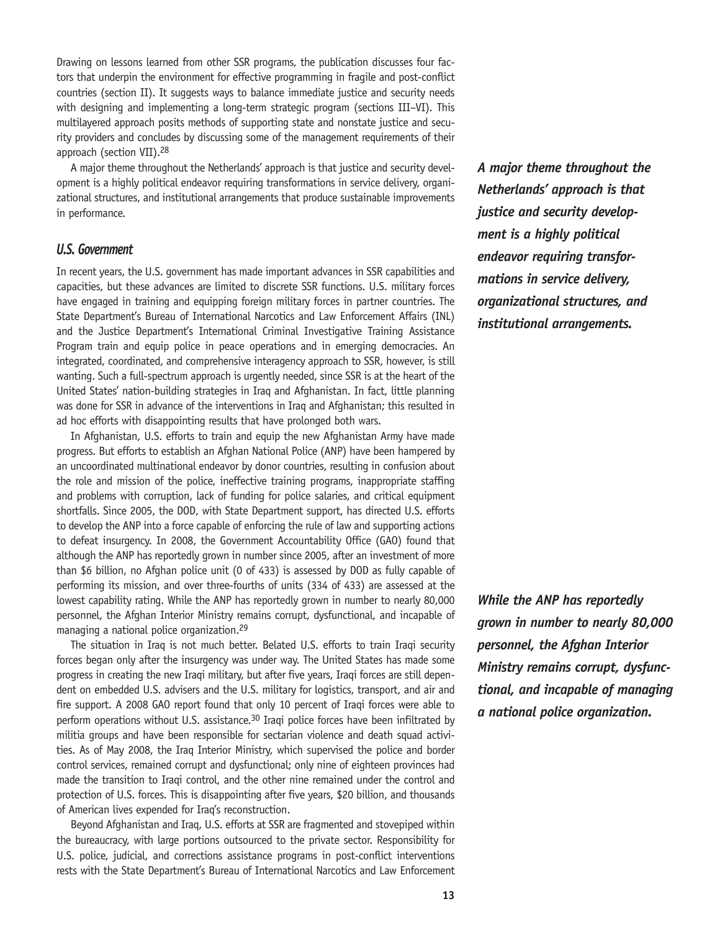Drawing on lessons learned from other SSR programs, the publication discusses four factors that underpin the environment for effective programming in fragile and post-conflict countries (section II). It suggests ways to balance immediate justice and security needs with designing and implementing a long-term strategic program (sections III–VI). This multilayered approach posits methods of supporting state and nonstate justice and security providers and concludes by discussing some of the management requirements of their approach (section VII).28

A major theme throughout the Netherlands' approach is that justice and security development is a highly political endeavor requiring transformations in service delivery, organizational structures, and institutional arrangements that produce sustainable improvements in performance.

### *U.S. Government*

In recent years, the U.S. government has made important advances in SSR capabilities and capacities, but these advances are limited to discrete SSR functions. U.S. military forces have engaged in training and equipping foreign military forces in partner countries. The State Department's Bureau of International Narcotics and Law Enforcement Affairs (INL) and the Justice Department's International Criminal Investigative Training Assistance Program train and equip police in peace operations and in emerging democracies. An integrated, coordinated, and comprehensive interagency approach to SSR, however, is still wanting. Such a full-spectrum approach is urgently needed, since SSR is at the heart of the United States' nation-building strategies in Iraq and Afghanistan. In fact, little planning was done for SSR in advance of the interventions in Iraq and Afghanistan; this resulted in ad hoc efforts with disappointing results that have prolonged both wars.

In Afghanistan, U.S. efforts to train and equip the new Afghanistan Army have made progress. But efforts to establish an Afghan National Police (ANP) have been hampered by an uncoordinated multinational endeavor by donor countries, resulting in confusion about the role and mission of the police, ineffective training programs, inappropriate staffing and problems with corruption, lack of funding for police salaries, and critical equipment shortfalls. Since 2005, the DOD, with State Department support, has directed U.S. efforts to develop the ANP into a force capable of enforcing the rule of law and supporting actions to defeat insurgency. In 2008, the Government Accountability Office (GAO) found that although the ANP has reportedly grown in number since 2005, after an investment of more than \$6 billion, no Afghan police unit (0 of 433) is assessed by DOD as fully capable of performing its mission, and over three-fourths of units (334 of 433) are assessed at the lowest capability rating. While the ANP has reportedly grown in number to nearly 80,000 personnel, the Afghan Interior Ministry remains corrupt, dysfunctional, and incapable of managing a national police organization.29

The situation in Iraq is not much better. Belated U.S. efforts to train Iraqi security forces began only after the insurgency was under way. The United States has made some progress in creating the new Iraqi military, but after five years, Iraqi forces are still dependent on embedded U.S. advisers and the U.S. military for logistics, transport, and air and fire support. A 2008 GAO report found that only 10 percent of Iraqi forces were able to perform operations without U.S. assistance.<sup>30</sup> Iraqi police forces have been infiltrated by militia groups and have been responsible for sectarian violence and death squad activities. As of May 2008, the Iraq Interior Ministry, which supervised the police and border control services, remained corrupt and dysfunctional; only nine of eighteen provinces had made the transition to Iraqi control, and the other nine remained under the control and protection of U.S. forces. This is disappointing after five years, \$20 billion, and thousands of American lives expended for Iraq's reconstruction.

Beyond Afghanistan and Iraq, U.S. efforts at SSR are fragmented and stovepiped within the bureaucracy, with large portions outsourced to the private sector. Responsibility for U.S. police, judicial, and corrections assistance programs in post-conflict interventions rests with the State Department's Bureau of International Narcotics and Law Enforcement

*A major theme throughout the Netherlands' approach is that justice and security development is a highly political endeavor requiring transformations in service delivery, organizational structures, and institutional arrangements.*

*While the ANP has reportedly grown in number to nearly 80,000 personnel, the Afghan Interior Ministry remains corrupt, dysfunctional, and incapable of managing a national police organization.*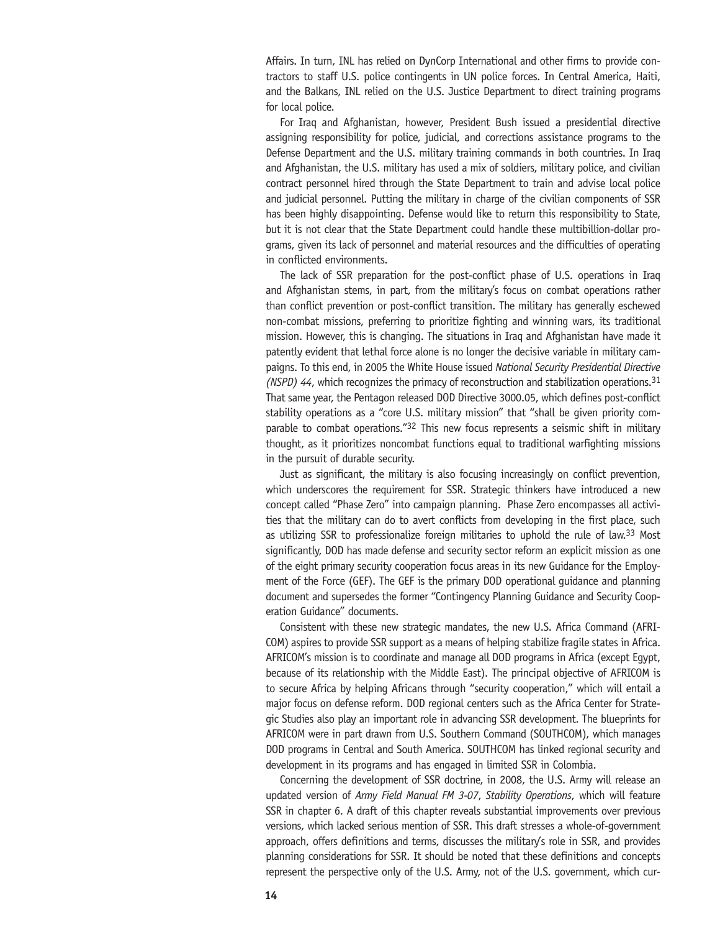Affairs. In turn, INL has relied on DynCorp International and other firms to provide contractors to staff U.S. police contingents in UN police forces. In Central America, Haiti, and the Balkans, INL relied on the U.S. Justice Department to direct training programs for local police.

For Iraq and Afghanistan, however, President Bush issued a presidential directive assigning responsibility for police, judicial, and corrections assistance programs to the Defense Department and the U.S. military training commands in both countries. In Iraq and Afghanistan, the U.S. military has used a mix of soldiers, military police, and civilian contract personnel hired through the State Department to train and advise local police and judicial personnel. Putting the military in charge of the civilian components of SSR has been highly disappointing. Defense would like to return this responsibility to State, but it is not clear that the State Department could handle these multibillion-dollar programs, given its lack of personnel and material resources and the difficulties of operating in conflicted environments.

The lack of SSR preparation for the post-conflict phase of U.S. operations in Iraq and Afghanistan stems, in part, from the military's focus on combat operations rather than conflict prevention or post-conflict transition. The military has generally eschewed non-combat missions, preferring to prioritize fighting and winning wars, its traditional mission. However, this is changing. The situations in Iraq and Afghanistan have made it patently evident that lethal force alone is no longer the decisive variable in military campaigns. To this end, in 2005 the White House issued *National Security Presidential Directive (NSPD) 44*, which recognizes the primacy of reconstruction and stabilization operations.31 That same year, the Pentagon released DOD Directive 3000.05, which defines post-conflict stability operations as a "core U.S. military mission" that "shall be given priority comparable to combat operations."<sup>32</sup> This new focus represents a seismic shift in military thought, as it prioritizes noncombat functions equal to traditional warfighting missions in the pursuit of durable security.

Just as significant, the military is also focusing increasingly on conflict prevention, which underscores the requirement for SSR. Strategic thinkers have introduced a new concept called "Phase Zero" into campaign planning. Phase Zero encompasses all activities that the military can do to avert conflicts from developing in the first place, such as utilizing SSR to professionalize foreign militaries to uphold the rule of law.<sup>33</sup> Most significantly, DOD has made defense and security sector reform an explicit mission as one of the eight primary security cooperation focus areas in its new Guidance for the Employment of the Force (GEF). The GEF is the primary DOD operational guidance and planning document and supersedes the former "Contingency Planning Guidance and Security Cooperation Guidance" documents.

Consistent with these new strategic mandates, the new U.S. Africa Command (AFRI-COM) aspires to provide SSR support as a means of helping stabilize fragile states in Africa. AFRICOM's mission is to coordinate and manage all DOD programs in Africa (except Egypt, because of its relationship with the Middle East). The principal objective of AFRICOM is to secure Africa by helping Africans through "security cooperation," which will entail a major focus on defense reform. DOD regional centers such as the Africa Center for Strategic Studies also play an important role in advancing SSR development. The blueprints for AFRICOM were in part drawn from U.S. Southern Command (SOUTHCOM), which manages DOD programs in Central and South America. SOUTHCOM has linked regional security and development in its programs and has engaged in limited SSR in Colombia.

Concerning the development of SSR doctrine, in 2008, the U.S. Army will release an updated version of *Army Field Manual FM 3-07*, *Stability Operations*, which will feature SSR in chapter 6. A draft of this chapter reveals substantial improvements over previous versions, which lacked serious mention of SSR. This draft stresses a whole-of-government approach, offers definitions and terms, discusses the military's role in SSR, and provides planning considerations for SSR. It should be noted that these definitions and concepts represent the perspective only of the U.S. Army, not of the U.S. government, which cur-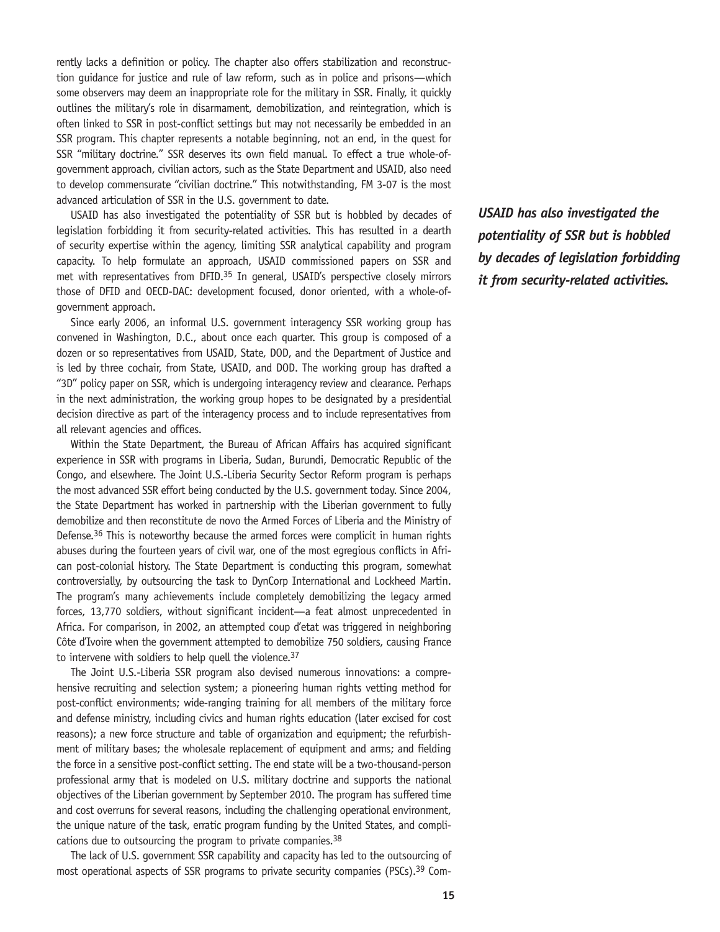rently lacks a definition or policy. The chapter also offers stabilization and reconstruction guidance for justice and rule of law reform, such as in police and prisons—which some observers may deem an inappropriate role for the military in SSR. Finally, it quickly outlines the military's role in disarmament, demobilization, and reintegration, which is often linked to SSR in post-conflict settings but may not necessarily be embedded in an SSR program. This chapter represents a notable beginning, not an end, in the quest for SSR "military doctrine." SSR deserves its own field manual. To effect a true whole-ofgovernment approach, civilian actors, such as the State Department and USAID, also need to develop commensurate "civilian doctrine." This notwithstanding, FM 3-07 is the most advanced articulation of SSR in the U.S. government to date.

USAID has also investigated the potentiality of SSR but is hobbled by decades of legislation forbidding it from security-related activities. This has resulted in a dearth of security expertise within the agency, limiting SSR analytical capability and program capacity. To help formulate an approach, USAID commissioned papers on SSR and met with representatives from DFID.<sup>35</sup> In general, USAID's perspective closely mirrors those of DFID and OECD-DAC: development focused, donor oriented, with a whole-ofgovernment approach.

Since early 2006, an informal U.S. government interagency SSR working group has convened in Washington, D.C., about once each quarter. This group is composed of a dozen or so representatives from USAID, State, DOD, and the Department of Justice and is led by three cochair, from State, USAID, and DOD. The working group has drafted a "3D" policy paper on SSR, which is undergoing interagency review and clearance. Perhaps in the next administration, the working group hopes to be designated by a presidential decision directive as part of the interagency process and to include representatives from all relevant agencies and offices.

Within the State Department, the Bureau of African Affairs has acquired significant experience in SSR with programs in Liberia, Sudan, Burundi, Democratic Republic of the Congo, and elsewhere. The Joint U.S.-Liberia Security Sector Reform program is perhaps the most advanced SSR effort being conducted by the U.S. government today. Since 2004, the State Department has worked in partnership with the Liberian government to fully demobilize and then reconstitute de novo the Armed Forces of Liberia and the Ministry of Defense.<sup>36</sup> This is noteworthy because the armed forces were complicit in human rights abuses during the fourteen years of civil war, one of the most egregious conflicts in African post-colonial history. The State Department is conducting this program, somewhat controversially, by outsourcing the task to DynCorp International and Lockheed Martin. The program's many achievements include completely demobilizing the legacy armed forces, 13,770 soldiers, without significant incident—a feat almost unprecedented in Africa. For comparison, in 2002, an attempted coup d'etat was triggered in neighboring Côte d'Ivoire when the government attempted to demobilize 750 soldiers, causing France to intervene with soldiers to help quell the violence.<sup>37</sup>

The Joint U.S.-Liberia SSR program also devised numerous innovations: a comprehensive recruiting and selection system; a pioneering human rights vetting method for post-conflict environments; wide-ranging training for all members of the military force and defense ministry, including civics and human rights education (later excised for cost reasons); a new force structure and table of organization and equipment; the refurbishment of military bases; the wholesale replacement of equipment and arms; and fielding the force in a sensitive post-conflict setting. The end state will be a two-thousand-person professional army that is modeled on U.S. military doctrine and supports the national objectives of the Liberian government by September 2010. The program has suffered time and cost overruns for several reasons, including the challenging operational environment, the unique nature of the task, erratic program funding by the United States, and complications due to outsourcing the program to private companies.<sup>38</sup>

The lack of U.S. government SSR capability and capacity has led to the outsourcing of most operational aspects of SSR programs to private security companies (PSCs).<sup>39</sup> Com-

*USAID has also investigated the potentiality of SSR but is hobbled by decades of legislation forbidding it from security-related activities.*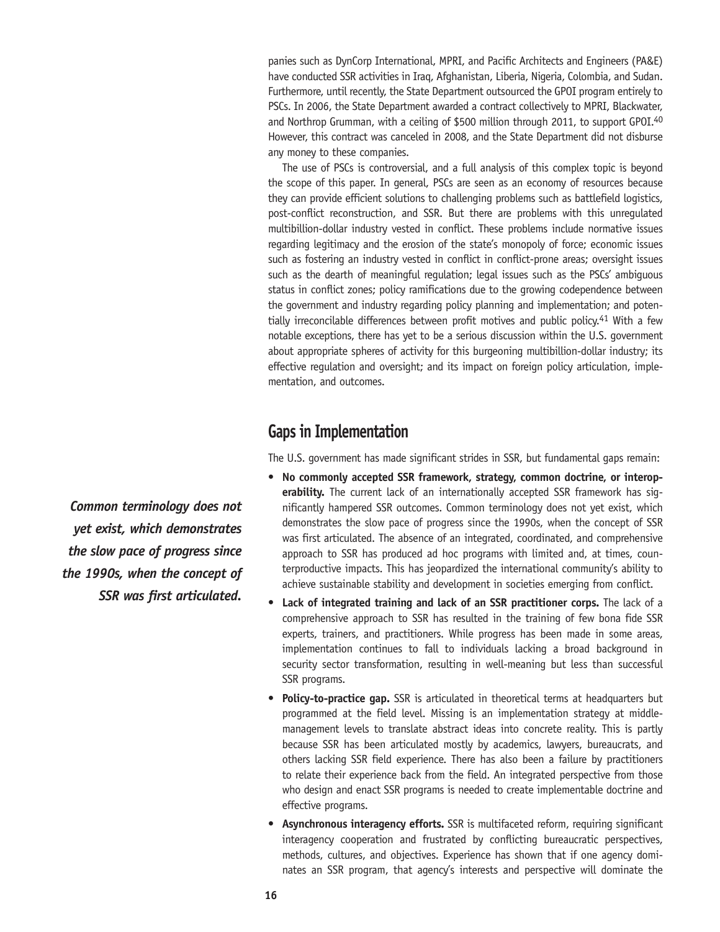panies such as DynCorp International, MPRI, and Pacific Architects and Engineers (PA&E) have conducted SSR activities in Iraq, Afghanistan, Liberia, Nigeria, Colombia, and Sudan. Furthermore, until recently, the State Department outsourced the GPOI program entirely to PSCs. In 2006, the State Department awarded a contract collectively to MPRI, Blackwater, and Northrop Grumman, with a ceiling of \$500 million through 2011, to support GPOI.<sup>40</sup> However, this contract was canceled in 2008, and the State Department did not disburse any money to these companies.

The use of PSCs is controversial, and a full analysis of this complex topic is beyond the scope of this paper. In general, PSCs are seen as an economy of resources because they can provide efficient solutions to challenging problems such as battlefield logistics, post-conflict reconstruction, and SSR. But there are problems with this unregulated multibillion-dollar industry vested in conflict. These problems include normative issues regarding legitimacy and the erosion of the state's monopoly of force; economic issues such as fostering an industry vested in conflict in conflict-prone areas; oversight issues such as the dearth of meaningful regulation; legal issues such as the PSCs' ambiguous status in conflict zones; policy ramifications due to the growing codependence between the government and industry regarding policy planning and implementation; and potentially irreconcilable differences between profit motives and public policy.<sup>41</sup> With a few notable exceptions, there has yet to be a serious discussion within the U.S. government about appropriate spheres of activity for this burgeoning multibillion-dollar industry; its effective regulation and oversight; and its impact on foreign policy articulation, implementation, and outcomes.

# **Gaps in Implementation**

The U.S. government has made significant strides in SSR, but fundamental gaps remain:

- **• No commonly accepted SSR framework, strategy, common doctrine, or interoperability.** The current lack of an internationally accepted SSR framework has significantly hampered SSR outcomes. Common terminology does not yet exist, which demonstrates the slow pace of progress since the 1990s, when the concept of SSR was first articulated. The absence of an integrated, coordinated, and comprehensive approach to SSR has produced ad hoc programs with limited and, at times, counterproductive impacts. This has jeopardized the international community's ability to achieve sustainable stability and development in societies emerging from conflict.
- **• Lack of integrated training and lack of an SSR practitioner corps.** The lack of a comprehensive approach to SSR has resulted in the training of few bona fide SSR experts, trainers, and practitioners. While progress has been made in some areas, implementation continues to fall to individuals lacking a broad background in security sector transformation, resulting in well-meaning but less than successful SSR programs.
- **• Policy-to-practice gap.** SSR is articulated in theoretical terms at headquarters but programmed at the field level. Missing is an implementation strategy at middlemanagement levels to translate abstract ideas into concrete reality. This is partly because SSR has been articulated mostly by academics, lawyers, bureaucrats, and others lacking SSR field experience. There has also been a failure by practitioners to relate their experience back from the field. An integrated perspective from those who design and enact SSR programs is needed to create implementable doctrine and effective programs.
- **• Asynchronous interagency efforts.** SSR is multifaceted reform, requiring significant interagency cooperation and frustrated by conflicting bureaucratic perspectives, methods, cultures, and objectives. Experience has shown that if one agency dominates an SSR program, that agency's interests and perspective will dominate the

*Common terminology does not yet exist, which demonstrates the slow pace of progress since the 1990s, when the concept of SSR was first articulated.*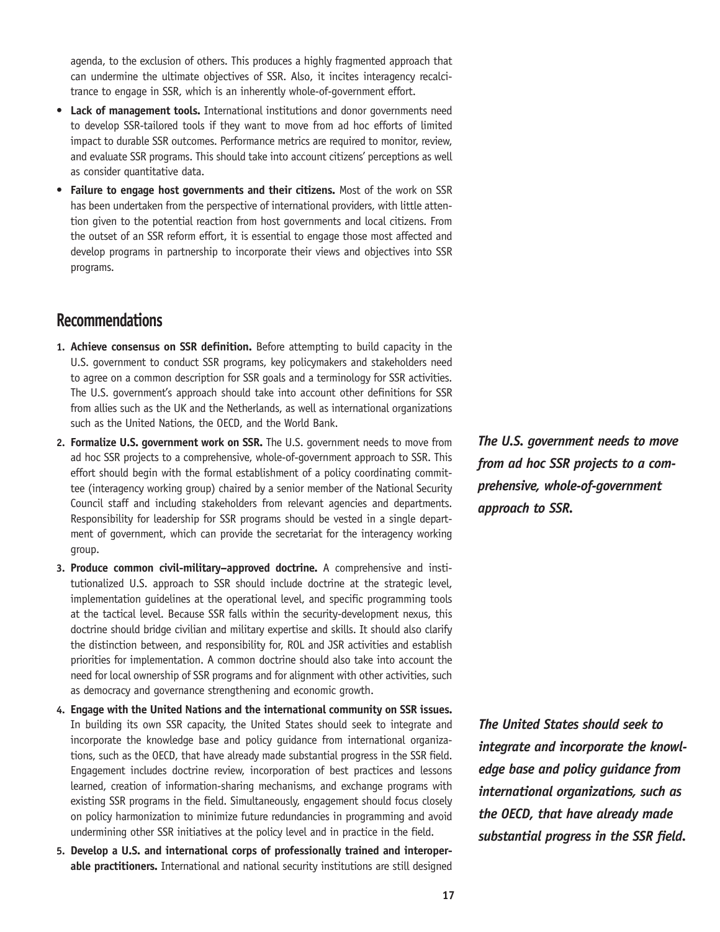agenda, to the exclusion of others. This produces a highly fragmented approach that can undermine the ultimate objectives of SSR. Also, it incites interagency recalcitrance to engage in SSR, which is an inherently whole-of-government effort.

- **• Lack of management tools.** International institutions and donor governments need to develop SSR-tailored tools if they want to move from ad hoc efforts of limited impact to durable SSR outcomes. Performance metrics are required to monitor, review, and evaluate SSR programs. This should take into account citizens' perceptions as well as consider quantitative data.
- **• Failure to engage host governments and their citizens.** Most of the work on SSR has been undertaken from the perspective of international providers, with little attention given to the potential reaction from host governments and local citizens. From the outset of an SSR reform effort, it is essential to engage those most affected and develop programs in partnership to incorporate their views and objectives into SSR programs.

## **Recommendations**

- **1. Achieve consensus on SSR definition.** Before attempting to build capacity in the U.S. government to conduct SSR programs, key policymakers and stakeholders need to agree on a common description for SSR goals and a terminology for SSR activities. The U.S. government's approach should take into account other definitions for SSR from allies such as the UK and the Netherlands, as well as international organizations such as the United Nations, the OECD, and the World Bank.
- **2. Formalize U.S. government work on SSR.** The U.S. government needs to move from ad hoc SSR projects to a comprehensive, whole-of-government approach to SSR. This effort should begin with the formal establishment of a policy coordinating committee (interagency working group) chaired by a senior member of the National Security Council staff and including stakeholders from relevant agencies and departments. Responsibility for leadership for SSR programs should be vested in a single department of government, which can provide the secretariat for the interagency working group.
- **3. Produce common civil-military–approved doctrine.** A comprehensive and institutionalized U.S. approach to SSR should include doctrine at the strategic level, implementation guidelines at the operational level, and specific programming tools at the tactical level. Because SSR falls within the security-development nexus, this doctrine should bridge civilian and military expertise and skills. It should also clarify the distinction between, and responsibility for, ROL and JSR activities and establish priorities for implementation. A common doctrine should also take into account the need for local ownership of SSR programs and for alignment with other activities, such as democracy and governance strengthening and economic growth.
- **4. Engage with the United Nations and the international community on SSR issues.** In building its own SSR capacity, the United States should seek to integrate and incorporate the knowledge base and policy guidance from international organizations, such as the OECD, that have already made substantial progress in the SSR field. Engagement includes doctrine review, incorporation of best practices and lessons learned, creation of information-sharing mechanisms, and exchange programs with existing SSR programs in the field. Simultaneously, engagement should focus closely on policy harmonization to minimize future redundancies in programming and avoid undermining other SSR initiatives at the policy level and in practice in the field.
- **5. Develop a U.S. and international corps of professionally trained and interoperable practitioners.** International and national security institutions are still designed

*The U.S. government needs to move from ad hoc SSR projects to a comprehensive, whole-of-government approach to SSR.*

*The United States should seek to integrate and incorporate the knowledge base and policy guidance from international organizations, such as the OECD, that have already made substantial progress in the SSR field.*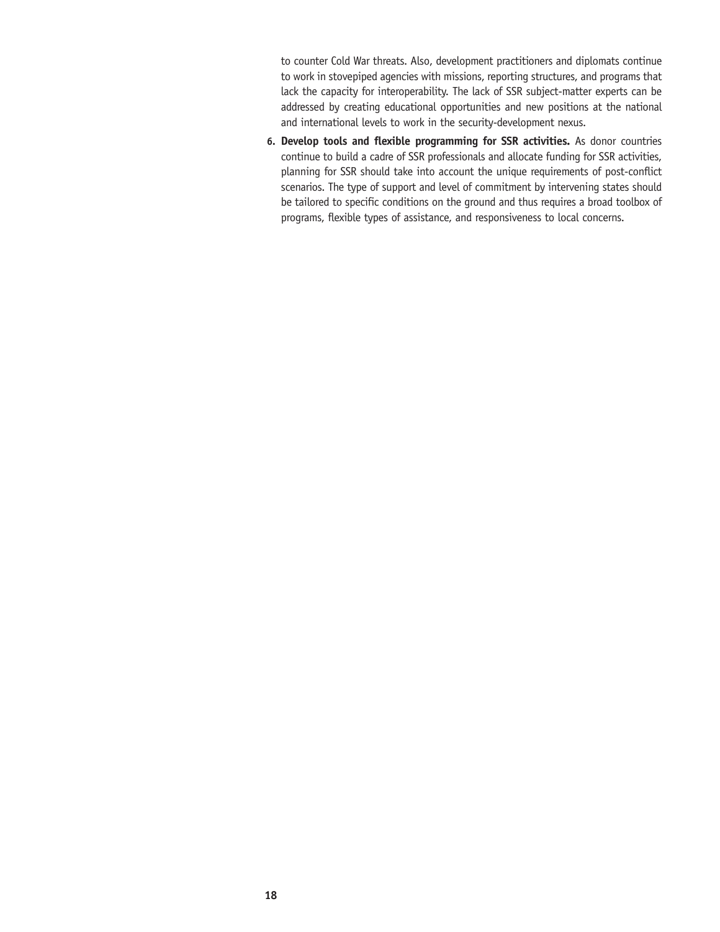to counter Cold War threats. Also, development practitioners and diplomats continue to work in stovepiped agencies with missions, reporting structures, and programs that lack the capacity for interoperability. The lack of SSR subject-matter experts can be addressed by creating educational opportunities and new positions at the national and international levels to work in the security-development nexus.

**6. Develop tools and flexible programming for SSR activities.** As donor countries continue to build a cadre of SSR professionals and allocate funding for SSR activities, planning for SSR should take into account the unique requirements of post-conflict scenarios. The type of support and level of commitment by intervening states should be tailored to specific conditions on the ground and thus requires a broad toolbox of programs, flexible types of assistance, and responsiveness to local concerns.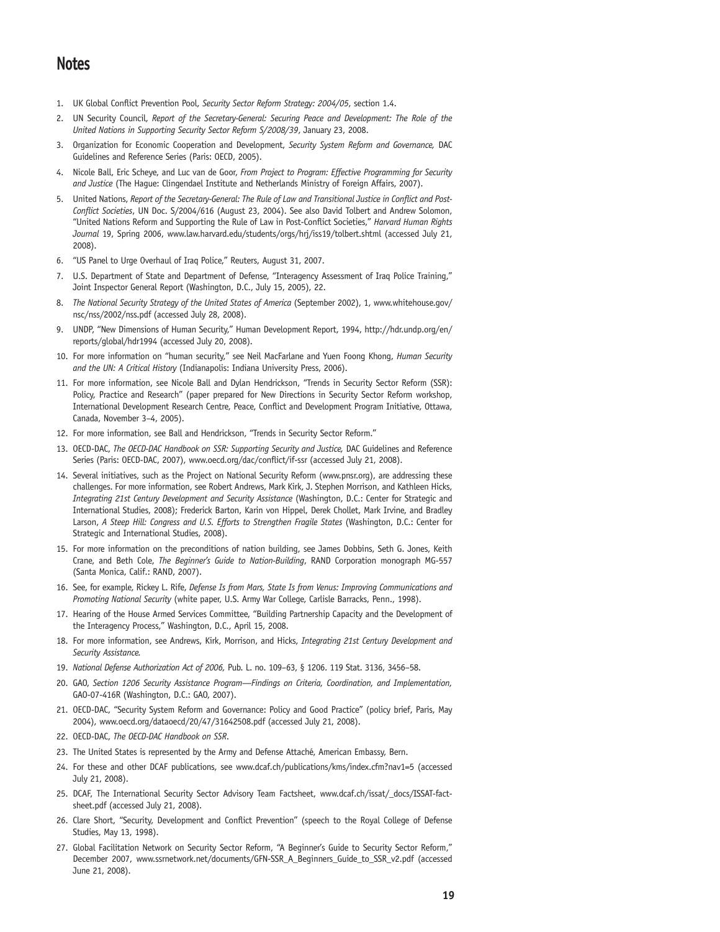## **Notes**

- 1. UK Global Conflict Prevention Pool, *Security Sector Reform Strategy: 2004/05*, section 1.4.
- 2. UN Security Council, *Report of the Secretary-General: Securing Peace and Development: The Role of the United Nations in Supporting Security Sector Reform S/2008/39*, January 23, 2008.
- 3. Organization for Economic Cooperation and Development, *Security System Reform and Governance,* DAC Guidelines and Reference Series (Paris: OECD, 2005).
- 4. Nicole Ball, Eric Scheye, and Luc van de Goor, *From Project to Program: Effective Programming for Security and Justice* (The Hague: Clingendael Institute and Netherlands Ministry of Foreign Affairs, 2007).
- 5. United Nations, *Report of the Secretary-General: The Rule of Law and Transitional Justice in Conflict and Post-Conflict Societies*, UN Doc. S/2004/616 (August 23, 2004). See also David Tolbert and Andrew Solomon, "United Nations Reform and Supporting the Rule of Law in Post-Conflict Societies," *Harvard Human Rights Journal* 19, Spring 2006, www.law.harvard.edu/students/orgs/hrj/iss19/tolbert.shtml (accessed July 21, 2008).
- 6. "US Panel to Urge Overhaul of Iraq Police," Reuters, August 31, 2007.
- 7. U.S. Department of State and Department of Defense, "Interagency Assessment of Iraq Police Training," Joint Inspector General Report (Washington, D.C., July 15, 2005), 22.
- 8. *The National Security Strategy of the United States of America* (September 2002), 1, www.whitehouse.gov/ nsc/nss/2002/nss.pdf (accessed July 28, 2008).
- 9. UNDP, "New Dimensions of Human Security," Human Development Report, 1994, http://hdr.undp.org/en/ reports/global/hdr1994 (accessed July 20, 2008).
- 10. For more information on "human security," see Neil MacFarlane and Yuen Foong Khong, *Human Security and the UN: A Critical History* (Indianapolis: Indiana University Press, 2006).
- 11. For more information, see Nicole Ball and Dylan Hendrickson, "Trends in Security Sector Reform (SSR): Policy, Practice and Research" (paper prepared for New Directions in Security Sector Reform workshop, International Development Research Centre, Peace, Conflict and Development Program Initiative, Ottawa, Canada, November 3–4, 2005).
- 12. For more information, see Ball and Hendrickson, "Trends in Security Sector Reform."
- 13. OECD-DAC, *The OECD-DAC Handbook on SSR: Supporting Security and Justice,* DAC Guidelines and Reference Series (Paris: OECD-DAC, 2007), www.oecd.org/dac/conflict/if-ssr (accessed July 21, 2008).
- 14. Several initiatives, such as the Project on National Security Reform (www.pnsr.org), are addressing these challenges. For more information, see Robert Andrews, Mark Kirk, J. Stephen Morrison, and Kathleen Hicks, *Integrating 21st Century Development and Security Assistance* (Washington, D.C.: Center for Strategic and International Studies, 2008); Frederick Barton, Karin von Hippel, Derek Chollet, Mark Irvine, and Bradley Larson, *A Steep Hill: Congress and U.S. Efforts to Strengthen Fragile States* (Washington, D.C.: Center for Strategic and International Studies, 2008).
- 15. For more information on the preconditions of nation building, see James Dobbins, Seth G. Jones, Keith Crane, and Beth Cole, *The Beginner's Guide to Nation-Building*, RAND Corporation monograph MG-557 (Santa Monica, Calif.: RAND, 2007).
- 16. See, for example, Rickey L. Rife, *Defense Is from Mars, State Is from Venus: Improving Communications and Promoting National Security* (white paper, U.S. Army War College, Carlisle Barracks, Penn., 1998).
- 17. Hearing of the House Armed Services Committee, "Building Partnership Capacity and the Development of the Interagency Process," Washington, D.C., April 15, 2008.
- 18. For more information, see Andrews, Kirk, Morrison, and Hicks, *Integrating 21st Century Development and Security Assistance.*
- 19. *National Defense Authorization Act of 2006,* Pub. L. no. 109–63, § 1206. 119 Stat. 3136, 3456–58.
- 20. GAO, *Section 1206 Security Assistance Program—Findings on Criteria, Coordination, and Implementation,* GAO-07-416R (Washington, D.C.: GAO, 2007).
- 21. OECD-DAC, "Security System Reform and Governance: Policy and Good Practice" (policy brief, Paris, May 2004), www.oecd.org/dataoecd/20/47/31642508.pdf (accessed July 21, 2008).
- 22. OECD-DAC, *The OECD-DAC Handbook on SSR*.
- 23. The United States is represented by the Army and Defense Attaché, American Embassy, Bern.
- 24. For these and other DCAF publications, see www.dcaf.ch/publications/kms/index.cfm?nav1=5 (accessed July 21, 2008).
- 25. DCAF, The International Security Sector Advisory Team Factsheet, www.dcaf.ch/issat/\_docs/ISSAT-factsheet.pdf (accessed July 21, 2008).
- 26. Clare Short, "Security, Development and Conflict Prevention" (speech to the Royal College of Defense Studies, May 13, 1998).
- 27. Global Facilitation Network on Security Sector Reform, "A Beginner's Guide to Security Sector Reform," December 2007, www.ssrnetwork.net/documents/GFN-SSR\_A\_Beginners\_Guide\_to\_SSR\_v2.pdf (accessed June 21, 2008).